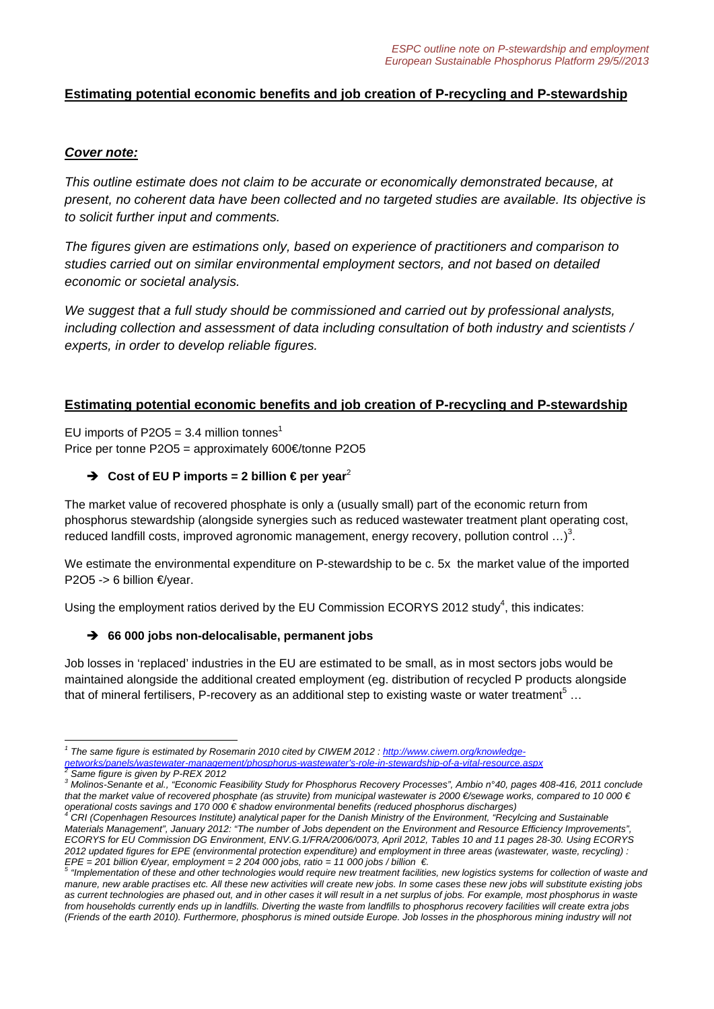# **Estimating potential economic benefits and job creation of P-recycling and P-stewardship**

### *Cover note:*

*This outline estimate does not claim to be accurate or economically demonstrated because, at present, no coherent data have been collected and no targeted studies are available. Its objective is to solicit further input and comments.* 

*The figures given are estimations only, based on experience of practitioners and comparison to studies carried out on similar environmental employment sectors, and not based on detailed economic or societal analysis.* 

*We suggest that a full study should be commissioned and carried out by professional analysts, including collection and assessment of data including consultation of both industry and scientists / experts, in order to develop reliable figures.* 

# **Estimating potential economic benefits and job creation of P-recycling and P-stewardship**

EU imports of P2O5 = 3.4 million tonnes<sup>1</sup> Price per tonne P2O5 = approximately 600€/tonne P2O5

#### $\rightarrow$  Cost of EU P imports = 2 billion  $\epsilon$  per year<sup>2</sup>

The market value of recovered phosphate is only a (usually small) part of the economic return from phosphorus stewardship (alongside synergies such as reduced wastewater treatment plant operating cost, reduced landfill costs, improved agronomic management, energy recovery, pollution control  $\ldots$ <sup>3</sup>.

We estimate the environmental expenditure on P-stewardship to be c. 5x the market value of the imported P2O5 -> 6 billion  $\epsilon$ /year.

Using the employment ratios derived by the EU Commission ECORYS 2012 study<sup>4</sup>, this indicates:

#### → 66 000 jobs non-delocalisable, permanent jobs

Job losses in 'replaced' industries in the EU are estimated to be small, as in most sectors jobs would be maintained alongside the additional created employment (eg. distribution of recycled P products alongside that of mineral fertilisers, P-recovery as an additional step to existing waste or water treatment<sup>5</sup> ...

<sup>-</sup><sup>1</sup> The same figure is estimated by Rosemarin 2010 cited by CIWEM 2012 : http://www.ciwem.org/knowledge*networks/panels/wastewater-management/phosphorus-wastewater's-role-in-stewardship-of-a-vital-resource.aspx 2 Same figure is given by P-REX 2012* 

*<sup>3</sup> Molinos-Senante et al., "Economic Feasibility Study for Phosphorus Recovery Processes", Ambio n°40, pages 408-416, 2011 conclude that the market value of recovered phosphate (as struvite) from municipal wastewater is 2000 €/sewage works, compared to 10 000 € operational costs savings and 170 000 € shadow environmental benefits (reduced phosphorus discharges) 4*

*CRI (Copenhagen Resources Institute) analytical paper for the Danish Ministry of the Environment, "Recylcing and Sustainable Materials Management", January 2012: "The number of Jobs dependent on the Environment and Resource Efficiency Improvements", ECORYS for EU Commission DG Environment, ENV.G.1/FRA/2006/0073, April 2012, Tables 10 and 11 pages 28-30. Using ECORYS 2012 updated figures for EPE (environmental protection expenditure) and employment in three areas (wastewater, waste, recycling) :*  EPE = 201 billion €/year, employment = 2 204 000 jobs, ratio = 11 000 jobs / billion €.<br><sup>5</sup> "Implementation of these and other technologies would require new treatment facilities, new logistics systems for collection of w

*manure, new arable practises etc. All these new activities will create new jobs. In some cases these new jobs will substitute existing jobs*  as current technologies are phased out, and in other cases it will result in a net surplus of jobs. For example, most phosphorus in waste *from households currently ends up in landfills. Diverting the waste from landfills to phosphorus recovery facilities will create extra jobs (Friends of the earth 2010). Furthermore, phosphorus is mined outside Europe. Job losses in the phosphorous mining industry will not*